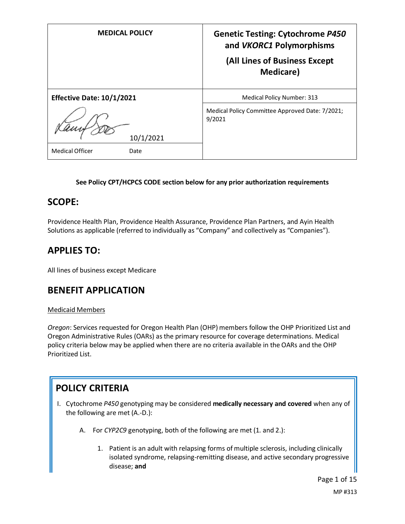| <b>MEDICAL POLICY</b>            | <b>Genetic Testing: Cytochrome P450</b><br>and VKORC1 Polymorphisms<br>(All Lines of Business Except<br><b>Medicare</b> ) |
|----------------------------------|---------------------------------------------------------------------------------------------------------------------------|
| <b>Effective Date: 10/1/2021</b> | <b>Medical Policy Number: 313</b>                                                                                         |
| 10/1/2021                        | Medical Policy Committee Approved Date: 7/2021;<br>9/2021                                                                 |
| <b>Medical Officer</b><br>Date   |                                                                                                                           |

#### **See Policy CPT/HCPCS CODE section below for any prior authorization requirements**

### **SCOPE:**

Providence Health Plan, Providence Health Assurance, Providence Plan Partners, and Ayin Health Solutions as applicable (referred to individually as "Company" and collectively as "Companies").

### **APPLIES TO:**

All lines of business except Medicare

### **BENEFIT APPLICATION**

#### Medicaid Members

*Oregon*: Services requested for Oregon Health Plan (OHP) members follow the OHP Prioritized List and Oregon Administrative Rules (OARs) as the primary resource for coverage determinations. Medical policy criteria below may be applied when there are no criteria available in the OARs and the OHP Prioritized List.

## **POLICY CRITERIA**

- I. Cytochrome *P450* genotyping may be considered **medically necessary and covered** when any of the following are met (A.-D.):
	- A. For *CYP2C9* genotyping, both of the following are met (1. and 2.):
		- 1. Patient is an adult with relapsing forms of multiple sclerosis, including clinically isolated syndrome, relapsing-remitting disease, and active secondary progressive disease; **and**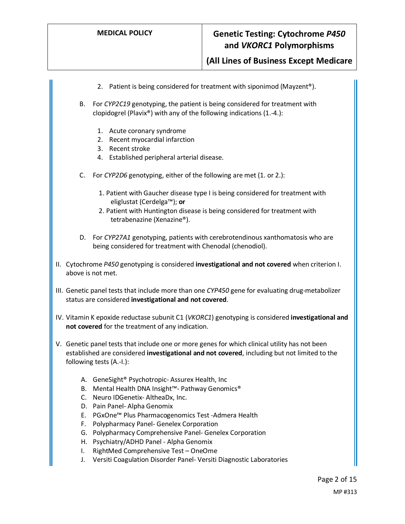**(All Lines of Business Except Medicare**

2. Patient is being considered for treatment with siponimod (Mayzent<sup>®</sup>). B. For *CYP2C19* genotyping, the patient is being considered for treatment with clopidogrel (Plavix®) with any of the following indications (1.-4.): 1. Acute coronary syndrome 2. Recent myocardial infarction 3. Recent stroke 4. Established peripheral arterial disease. C. For *CYP2D6* genotyping, either of the following are met (1. or 2.): 1. Patient with Gaucher disease type I is being considered for treatment with eliglustat (Cerdelga™); **or** 2. Patient with Huntington disease is being considered for treatment with tetrabenazine (Xenazine®). D. For *CYP27A1* genotyping, patients with cerebrotendinous xanthomatosis who are being considered for treatment with Chenodal (chenodiol). II. Cytochrome *P450* genotyping is considered **investigational and not covered** when criterion I. above is not met. III. Genetic panel tests that include more than one *CYP450* gene for evaluating drug-metabolizer status are considered **investigational and not covered**. IV. Vitamin K epoxide reductase subunit C1 (*VKORC1*) genotyping is considered **investigational and not covered** for the treatment of any indication. V. Genetic panel tests that include one or more genes for which clinical utility has not been established are considered **investigational and not covered**, including but not limited to the following tests (A.-I.): A. GeneSight® Psychotropic- Assurex Health, Inc B. Mental Health DNA Insight™- Pathway Genomics® C. Neuro IDGenetix- AltheaDx, Inc. D. Pain Panel- Alpha Genomix E. PGxOne™ Plus Pharmacogenomics Test -Admera Health F. Polypharmacy Panel- Genelex Corporation G. Polypharmacy Comprehensive Panel- Genelex Corporation H. Psychiatry/ADHD Panel - Alpha Genomix I. RightMed Comprehensive Test – OneOme J. Versiti Coagulation Disorder Panel- Versiti Diagnostic Laboratories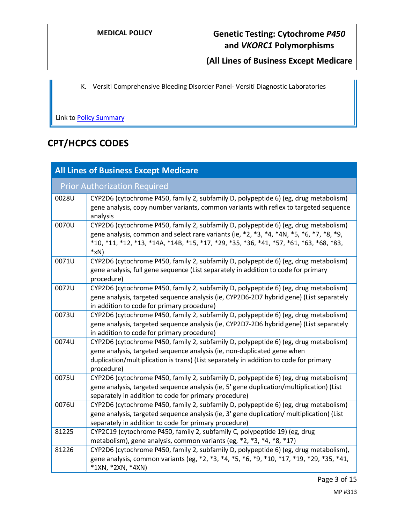**(All Lines of Business Except Medicare**

K. Versiti Comprehensive Bleeding Disorder Panel- Versiti Diagnostic Laboratories

Link to **Policy Summary** 

# **CPT/HCPCS CODES**

| <b>All Lines of Business Except Medicare</b> |                                                                                                                                                                                                                                                                                                                    |
|----------------------------------------------|--------------------------------------------------------------------------------------------------------------------------------------------------------------------------------------------------------------------------------------------------------------------------------------------------------------------|
|                                              | <b>Prior Authorization Required</b>                                                                                                                                                                                                                                                                                |
| 0028U                                        | CYP2D6 (cytochrome P450, family 2, subfamily D, polypeptide 6) (eg, drug metabolism)<br>gene analysis, copy number variants, common variants with reflex to targeted sequence<br>analysis                                                                                                                          |
| 0070U                                        | CYP2D6 (cytochrome P450, family 2, subfamily D, polypeptide 6) (eg, drug metabolism)<br>gene analysis, common and select rare variants (ie, $*2$ , $*3$ , $*4$ , $*4N$ , $*5$ , $*6$ , $*7$ , $*8$ , $*9$ ,<br>*10, *11, *12, *13, *14A, *14B, *15, *17, *29, *35, *36, *41, *57, *61, *63, *68, *83,<br>$*_{X}N)$ |
| 0071U                                        | CYP2D6 (cytochrome P450, family 2, subfamily D, polypeptide 6) (eg, drug metabolism)<br>gene analysis, full gene sequence (List separately in addition to code for primary<br>procedure)                                                                                                                           |
| 0072U                                        | CYP2D6 (cytochrome P450, family 2, subfamily D, polypeptide 6) (eg, drug metabolism)<br>gene analysis, targeted sequence analysis (ie, CYP2D6-2D7 hybrid gene) (List separately<br>in addition to code for primary procedure)                                                                                      |
| 0073U                                        | CYP2D6 (cytochrome P450, family 2, subfamily D, polypeptide 6) (eg, drug metabolism)<br>gene analysis, targeted sequence analysis (ie, CYP2D7-2D6 hybrid gene) (List separately<br>in addition to code for primary procedure)                                                                                      |
| 0074U                                        | CYP2D6 (cytochrome P450, family 2, subfamily D, polypeptide 6) (eg, drug metabolism)<br>gene analysis, targeted sequence analysis (ie, non-duplicated gene when<br>duplication/multiplication is trans) (List separately in addition to code for primary<br>procedure)                                             |
| 0075U                                        | CYP2D6 (cytochrome P450, family 2, subfamily D, polypeptide 6) (eg, drug metabolism)<br>gene analysis, targeted sequence analysis (ie, 5' gene duplication/multiplication) (List<br>separately in addition to code for primary procedure)                                                                          |
| 0076U                                        | CYP2D6 (cytochrome P450, family 2, subfamily D, polypeptide 6) (eg, drug metabolism)<br>gene analysis, targeted sequence analysis (ie, 3' gene duplication/ multiplication) (List<br>separately in addition to code for primary procedure)                                                                         |
| 81225                                        | CYP2C19 (cytochrome P450, family 2, subfamily C, polypeptide 19) (eg, drug<br>metabolism), gene analysis, common variants (eg, *2, *3, *4, *8, *17)                                                                                                                                                                |
| 81226                                        | CYP2D6 (cytochrome P450, family 2, subfamily D, polypeptide 6) (eg, drug metabolism),<br>gene analysis, common variants (eg, *2, *3, *4, *5, *6, *9, *10, *17, *19, *29, *35, *41,<br>*1XN, *2XN, *4XN)                                                                                                            |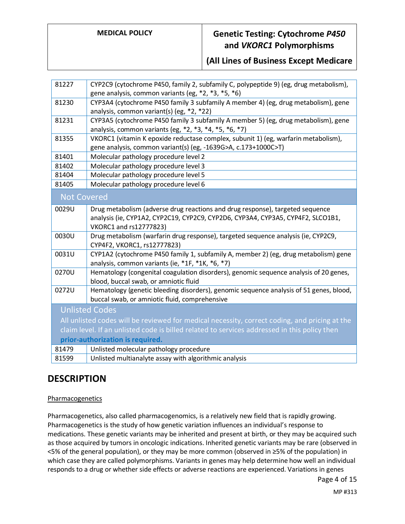**(All Lines of Business Except Medicare**

| 81227                                                                                        | CYP2C9 (cytochrome P450, family 2, subfamily C, polypeptide 9) (eg, drug metabolism),         |
|----------------------------------------------------------------------------------------------|-----------------------------------------------------------------------------------------------|
|                                                                                              | gene analysis, common variants (eg, *2, *3, *5, *6)                                           |
| 81230                                                                                        | CYP3A4 (cytochrome P450 family 3 subfamily A member 4) (eg, drug metabolism), gene            |
|                                                                                              | analysis, common variant(s) (eg, *2, *22)                                                     |
| 81231                                                                                        | CYP3A5 (cytochrome P450 family 3 subfamily A member 5) (eg, drug metabolism), gene            |
|                                                                                              | analysis, common variants (eg, *2, *3, *4, *5, *6, *7)                                        |
| 81355                                                                                        | VKORC1 (vitamin K epoxide reductase complex, subunit 1) (eg, warfarin metabolism),            |
|                                                                                              | gene analysis, common variant(s) (eg, -1639G>A, c.173+1000C>T)                                |
| 81401                                                                                        | Molecular pathology procedure level 2                                                         |
| 81402                                                                                        | Molecular pathology procedure level 3                                                         |
| 81404                                                                                        | Molecular pathology procedure level 5                                                         |
| 81405                                                                                        | Molecular pathology procedure level 6                                                         |
| <b>Not Covered</b>                                                                           |                                                                                               |
| 0029U                                                                                        | Drug metabolism (adverse drug reactions and drug response), targeted sequence                 |
|                                                                                              | analysis (ie, CYP1A2, CYP2C19, CYP2C9, CYP2D6, CYP3A4, CYP3A5, CYP4F2, SLCO1B1,               |
|                                                                                              | VKORC1 and rs12777823)                                                                        |
| 0030U                                                                                        | Drug metabolism (warfarin drug response), targeted sequence analysis (ie, CYP2C9,             |
|                                                                                              | CYP4F2, VKORC1, rs12777823)                                                                   |
| 0031U                                                                                        | CYP1A2 (cytochrome P450 family 1, subfamily A, member 2) (eg, drug metabolism) gene           |
|                                                                                              | analysis, common variants (ie, *1F, *1K, *6, *7)                                              |
| 0270U                                                                                        | Hematology (congenital coagulation disorders), genomic sequence analysis of 20 genes,         |
|                                                                                              | blood, buccal swab, or amniotic fluid                                                         |
| 0272U                                                                                        | Hematology (genetic bleeding disorders), genomic sequence analysis of 51 genes, blood,        |
|                                                                                              | buccal swab, or amniotic fluid, comprehensive                                                 |
|                                                                                              | <b>Unlisted Codes</b>                                                                         |
|                                                                                              | All unlisted codes will be reviewed for medical necessity, correct coding, and pricing at the |
| claim level. If an unlisted code is billed related to services addressed in this policy then |                                                                                               |
| prior-authorization is required.                                                             |                                                                                               |
| 81479                                                                                        | Unlisted molecular pathology procedure                                                        |
| 81599                                                                                        | Unlisted multianalyte assay with algorithmic analysis                                         |

### **DESCRIPTION**

#### **Pharmacogenetics**

Pharmacogenetics, also called pharmacogenomics, is a relatively new field that is rapidly growing. Pharmacogenetics is the study of how genetic variation influences an individual's response to medications. These genetic variants may be inherited and present at birth, or they may be acquired such as those acquired by tumors in oncologic indications. Inherited genetic variants may be rare (observed in <5% of the general population), or they may be more common (observed in ≥5% of the population) in which case they are called polymorphisms. Variants in genes may help determine how well an individual responds to a drug or whether side effects or adverse reactions are experienced. Variations in genes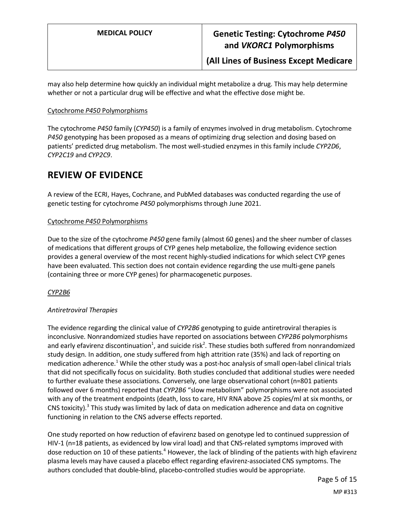**(All Lines of Business Except Medicare**

may also help determine how quickly an individual might metabolize a drug. This may help determine whether or not a particular drug will be effective and what the effective dose might be.

#### Cytochrome *P450* Polymorphisms

The cytochrome *P450* family (*CYP450*) is a family of enzymes involved in drug metabolism. Cytochrome *P450* genotyping has been proposed as a means of optimizing drug selection and dosing based on patients' predicted drug metabolism. The most well-studied enzymes in this family include *CYP2D6*, *CYP2C19* and *CYP2C9*.

### **REVIEW OF EVIDENCE**

A review of the ECRI, Hayes, Cochrane, and PubMed databases was conducted regarding the use of genetic testing for cytochrome *P450* polymorphisms through June 2021.

#### Cytochrome *P450* Polymorphisms

Due to the size of the cytochrome *P450* gene family (almost 60 genes) and the sheer number of classes of medications that different groups of CYP genes help metabolize, the following evidence section provides a general overview of the most recent highly-studied indications for which select CYP genes have been evaluated. This section does not contain evidence regarding the use multi-gene panels (containing three or more CYP genes) for pharmacogenetic purposes.

*CYP2B6*

#### *Antiretroviral Therapies*

The evidence regarding the clinical value of *CYP2B6* genotyping to guide antiretroviral therapies is inconclusive. Nonrandomized studies have reported on associations between *CYP2B6* polymorphisms and early efavirenz discontinuation<sup>1</sup>, and suicide risk<sup>2</sup>. These studies both suffered from nonrandomized study design. In addition, one study suffered from high attrition rate (35%) and lack of reporting on medication adherence.<sup>1</sup> While the other study was a post-hoc analysis of small open-label clinical trials that did not specifically focus on suicidality. Both studies concluded that additional studies were needed to further evaluate these associations. Conversely, one large observational cohort (n=801 patients followed over 6 months) reported that *CYP2B6* "slow metabolism" polymorphisms were not associated with any of the treatment endpoints (death, loss to care, HIV RNA above 25 copies/ml at six months, or CNS toxicity). $3$  This study was limited by lack of data on medication adherence and data on cognitive functioning in relation to the CNS adverse effects reported.

One study reported on how reduction of efavirenz based on genotype led to continued suppression of HIV-1 (n=18 patients, as evidenced by low viral load) and that CNS-related symptoms improved with dose reduction on 10 of these patients.<sup>4</sup> However, the lack of blinding of the patients with high efavirenz plasma levels may have caused a placebo effect regarding efavirenz-associated CNS symptoms. The authors concluded that double-blind, placebo-controlled studies would be appropriate.

Page 5 of 15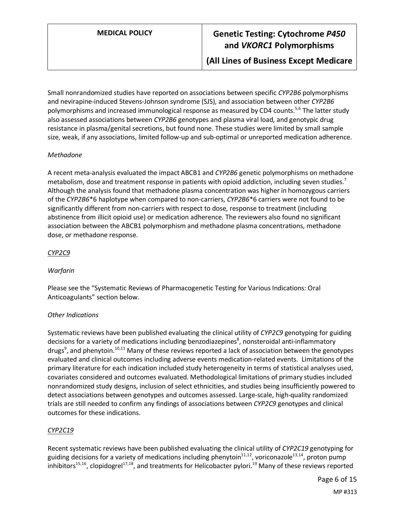Small nonrandomized studies have reported on associations between specific *CYP2B6* polymorphisms and nevirapine-induced Stevens-Johnson syndrome (SJS), and association between other *CYP2B6* polymorphisms and increased immunological response as measured by CD4 counts.<sup>5,6</sup> The latter study also assessed associations between *CYP2B6* genotypes and plasma viral load, and genotypic drug resistance in plasma/genital secretions, but found none. These studies were limited by small sample size, weak, if any associations, limited follow-up and sub-optimal or unreported medication adherence.

#### *Methadone*

A recent meta-analysis evaluated the impact ABCB1 and *CYP2B6* genetic polymorphisms on methadone metabolism, dose and treatment response in patients with opioid addiction, including seven studies.<sup>7</sup> Although the analysis found that methadone plasma concentration was higher in homozygous carriers of the *CYP2B6*\*6 haplotype when compared to non-carriers, *CYP2B6*\*6 carriers were not found to be significantly different from non-carriers with respect to dose, response to treatment (including abstinence from illicit opioid use) or medication adherence. The reviewers also found no significant association between the ABCB1 polymorphism and methadone plasma concentrations, methadone dose, or methadone response.

#### *CYP2C9*

#### *Warfarin*

Please see the "Systematic Reviews of Pharmacogenetic Testing for Various Indications: Oral Anticoagulants" section below.

#### *Other Indications*

Systematic reviews have been published evaluating the clinical utility of *CYP2C9* genotyping for guiding decisions for a variety of medications including benzodiazepines<sup>8</sup>, nonsteroidal anti-inflammatory drugs<sup>9</sup>, and phenytoin.<sup>10,11</sup> Many of these reviews reported a lack of association between the genotypes evaluated and clinical outcomes including adverse events medication-related events. Limitations of the primary literature for each indication included study heterogeneity in terms of statistical analyses used, covariates considered and outcomes evaluated. Methodological limitations of primary studies included nonrandomized study designs, inclusion of select ethnicities, and studies being insufficiently powered to detect associations between genotypes and outcomes assessed. Large-scale, high-quality randomized trials are still needed to confirm any findings of associations between *CYP2C9* genotypes and clinical outcomes for these indications.

#### *CYP2C19*

Recent systematic reviews have been published evaluating the clinical utility of *CYP2C19* genotyping for guiding decisions for a variety of medications including phenytoin $11,12$ , voriconazole $13,14$ , proton pump inhibitors<sup>15,16</sup>, clopidogrel<sup>17,18</sup>, and treatments for Helicobacter pylori.<sup>19</sup> Many of these reviews reported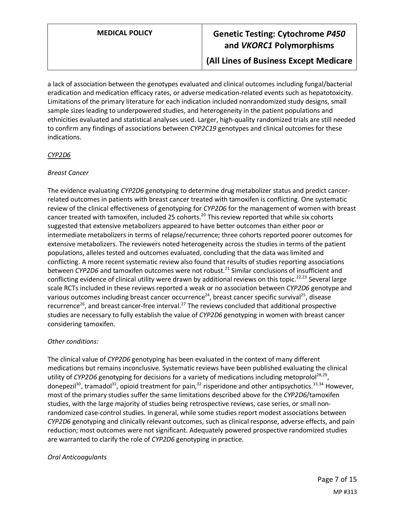**(All Lines of Business Except Medicare**

a lack of association between the genotypes evaluated and clinical outcomes including fungal/bacterial eradication and medication efficacy rates, or adverse medication-related events such as hepatotoxicity. Limitations of the primary literature for each indication included nonrandomized study designs, small sample sizes leading to underpowered studies, and heterogeneity in the patient populations and ethnicities evaluated and statistical analyses used. Larger, high-quality randomized trials are still needed to confirm any findings of associations between *CYP2C19* genotypes and clinical outcomes for these indications.

#### *CYP2D6*

#### *Breast Cancer*

The evidence evaluating *CYP2D6* genotyping to determine drug metabolizer status and predict cancerrelated outcomes in patients with breast cancer treated with tamoxifen is conflicting. One systematic review of the clinical effectiveness of genotyping for *CYP2D6* for the management of women with breast cancer treated with tamoxifen, included 25 cohorts.<sup>20</sup> This review reported that while six cohorts suggested that extensive metabolizers appeared to have better outcomes than either poor or intermediate metabolizers in terms of relapse/recurrence; three cohorts reported poorer outcomes for extensive metabolizers. The reviewers noted heterogeneity across the studies in terms of the patient populations, alleles tested and outcomes evaluated, concluding that the data was limited and conflicting. A more recent systematic review also found that results of studies reporting associations between *CYP2D6* and tamoxifen outcomes were not robust.<sup>21</sup> Similar conclusions of insufficient and conflicting evidence of clinical utility were drawn by additional reviews on this topic.<sup>22,23</sup> Several large scale RCTs included in these reviews reported a weak or no association between *CYP2D6* genotype and various outcomes including breast cancer occurrence<sup>24</sup>, breast cancer specific survival<sup>25</sup>, disease recurrence<sup>26</sup>, and breast cancer-free interval.<sup>27</sup> The reviews concluded that additional prospective studies are necessary to fully establish the value of *CYP2D6* genotyping in women with breast cancer considering tamoxifen.

#### *Other conditions:*

The clinical value of *CYP2D6* genotyping has been evaluated in the context of many different medications but remains inconclusive. Systematic reviews have been published evaluating the clinical utility of *CYP2D6* genotyping for decisions for a variety of medications including metoprolol<sup>28,29</sup>, donepezil<sup>30</sup>, tramadol<sup>31</sup>, opioid treatment for pain,<sup>32</sup> risperidone and other antipsychotics.<sup>33,34</sup> However, most of the primary studies suffer the same limitations described above for the *CYP2D6*/tamoxifen studies, with the large majority of studies being retrospective reviews, case series, or small nonrandomized case-control studies. In general, while some studies report modest associations between *CYP2D6* genotyping and clinically relevant outcomes, such as clinical response, adverse effects, and pain reduction; most outcomes were not significant. Adequately powered prospective randomized studies are warranted to clarify the role of *CYP2D6* genotyping in practice.

#### *Oral Anticoagulants*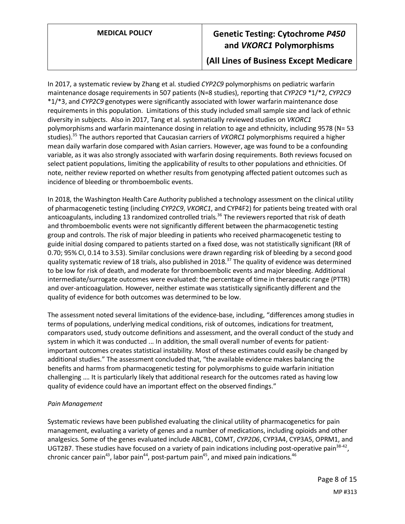### **(All Lines of Business Except Medicare**

In 2017, a systematic review by Zhang et al. studied *CYP2C9* polymorphisms on pediatric warfarin maintenance dosage requirements in 507 patients (N=8 studies), reporting that *CYP2C9* \*1/\*2, *CYP2C9* \*1/\*3, and *CYP2C9* genotypes were significantly associated with lower warfarin maintenance dose requirements in this population. Limitations of this study included small sample size and lack of ethnic diversity in subjects. Also in 2017, Tang et al. systematically reviewed studies on *VKORC1* polymorphisms and warfarin maintenance dosing in relation to age and ethnicity, including 9578 (N= 53 studies).<sup>35</sup> The authors reported that Caucasian carriers of *VKORC1* polymorphisms required a higher mean daily warfarin dose compared with Asian carriers. However, age was found to be a confounding variable, as it was also strongly associated with warfarin dosing requirements. Both reviews focused on select patient populations, limiting the applicability of results to other populations and ethnicities. Of note, neither review reported on whether results from genotyping affected patient outcomes such as incidence of bleeding or thromboembolic events.

In 2018, the Washington Health Care Authority published a technology assessment on the clinical utility of pharmacogenetic testing (including *CYP2C9*, *VKORC1*, and CYP4F2) for patients being treated with oral anticoagulants, including 13 randomized controlled trials.<sup>36</sup> The reviewers reported that risk of death and thromboembolic events were not significantly different between the pharmacogenetic testing group and controls. The risk of major bleeding in patients who received pharmacogenetic testing to guide initial dosing compared to patients started on a fixed dose, was not statistically significant (RR of 0.70; 95% CI, 0.14 to 3.53). Similar conclusions were drawn regarding risk of bleeding by a second good quality systematic review of 18 trials, also published in 2018.<sup>37</sup> The quality of evidence was determined to be low for risk of death, and moderate for thromboembolic events and major bleeding. Additional intermediate/surrogate outcomes were evaluated: the percentage of time in therapeutic range (PTTR) and over-anticoagulation. However, neither estimate was statistically significantly different and the quality of evidence for both outcomes was determined to be low.

The assessment noted several limitations of the evidence-base, including, "differences among studies in terms of populations, underlying medical conditions, risk of outcomes, indications for treatment, comparators used, study outcome definitions and assessment, and the overall conduct of the study and system in which it was conducted ... In addition, the small overall number of events for patientimportant outcomes creates statistical instability. Most of these estimates could easily be changed by additional studies." The assessment concluded that, "the available evidence makes balancing the benefits and harms from pharmacogenetic testing for polymorphisms to guide warfarin initiation challenging …. It is particularly likely that additional research for the outcomes rated as having low quality of evidence could have an important effect on the observed findings."

#### *Pain Management*

Systematic reviews have been published evaluating the clinical utility of pharmacogenetics for pain management, evaluating a variety of genes and a number of medications, including opioids and other analgesics. Some of the genes evaluated include ABCB1, COMT, *CYP2D6*, CYP3A4, CYP3A5, OPRM1, and UGT2B7. These studies have focused on a variety of pain indications including post-operative pain<sup>38-42</sup>, chronic cancer pain<sup>43</sup>, labor pain<sup>44</sup>, post-partum pain<sup>45</sup>, and mixed pain indications.<sup>46</sup>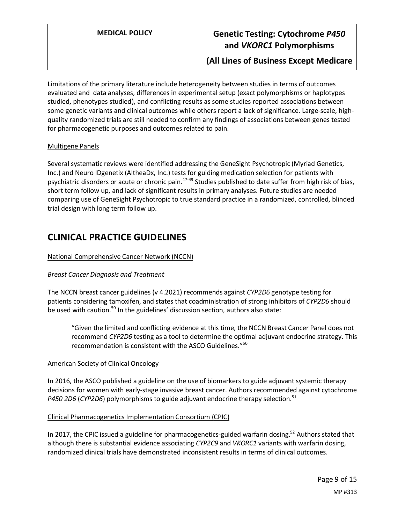**(All Lines of Business Except Medicare**

Limitations of the primary literature include heterogeneity between studies in terms of outcomes evaluated and data analyses, differences in experimental setup (exact polymorphisms or haplotypes studied, phenotypes studied), and conflicting results as some studies reported associations between some genetic variants and clinical outcomes while others report a lack of significance. Large-scale, highquality randomized trials are still needed to confirm any findings of associations between genes tested for pharmacogenetic purposes and outcomes related to pain.

#### Multigene Panels

Several systematic reviews were identified addressing the GeneSight Psychotropic (Myriad Genetics, Inc.) and Neuro IDgenetix (AltheaDx, Inc.) tests for guiding medication selection for patients with psychiatric disorders or acute or chronic pain.47-49 Studies published to date suffer from high risk of bias, short term follow up, and lack of significant results in primary analyses. Future studies are needed comparing use of GeneSight Psychotropic to true standard practice in a randomized, controlled, blinded trial design with long term follow up.

## **CLINICAL PRACTICE GUIDELINES**

#### National Comprehensive Cancer Network (NCCN)

#### *Breast Cancer Diagnosis and Treatment*

The NCCN breast cancer guidelines (v 4.2021) recommends against *CYP2D6* genotype testing for patients considering tamoxifen, and states that coadministration of strong inhibitors of *CYP2D6* should be used with caution.<sup>50</sup> In the guidelines' discussion section, authors also state:

"Given the limited and conflicting evidence at this time, the NCCN Breast Cancer Panel does not recommend *CYP2D6* testing as a tool to determine the optimal adjuvant endocrine strategy. This recommendation is consistent with the ASCO Guidelines."<sup>50</sup>

#### American Society of Clinical Oncology

In 2016, the ASCO published a guideline on the use of biomarkers to guide adjuvant systemic therapy decisions for women with early-stage invasive breast cancer. Authors recommended against cytochrome *P450 2D6* (*CYP2D6*) polymorphisms to guide adjuvant endocrine therapy selection.<sup>51</sup>

#### Clinical Pharmacogenetics Implementation Consortium (CPIC)

<span id="page-8-0"></span>In 2017, the CPIC issued a guideline for pharmacogenetics-guided warfarin dosing.<sup>52</sup> Authors stated that although there is substantial evidence associating *CYP2C9* and *VKORC1* variants with warfarin dosing, randomized clinical trials have demonstrated inconsistent results in terms of clinical outcomes.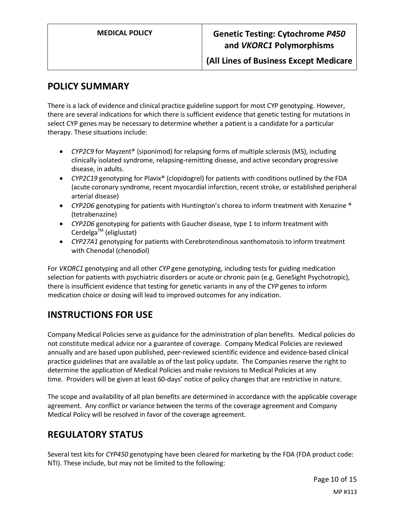### **POLICY SUMMARY**

There is a lack of evidence and clinical practice guideline support for most CYP genotyping. However, there are several indications for which there is sufficient evidence that genetic testing for mutations in select CYP genes may be necessary to determine whether a patient is a candidate for a particular therapy. These situations include:

- *CYP2C9* for Mayzent® (siponimod) for relapsing forms of multiple sclerosis (MS), including clinically isolated syndrome, relapsing-remitting disease, and active secondary progressive disease, in adults.
- *CYP2C19* genotyping for Plavix® (clopidogrel) for patients with conditions outlined by the FDA (acute coronary syndrome, recent myocardial infarction, recent stroke, or established peripheral arterial disease)
- *CYP2D6* genotyping for patients with Huntington's chorea to inform treatment with Xenazine ® (tetrabenazine)
- *CYP2D6* genotyping for patients with Gaucher disease, type 1 to inform treatment with Cerdelga<sup>TM</sup> (eliglustat)
- *CYP27A1* genotyping for patients with Cerebrotendinous xanthomatosis to inform treatment with Chenodal (chenodiol)

For *VKORC1* genotyping and all other *CYP* gene genotyping, including tests for guiding medication selection for patients with psychiatric disorders or acute or chronic pain (e.g. GeneSight Psychotropic), there is insufficient evidence that testing for genetic variants in any of the *CYP* genes to inform medication choice or dosing will lead to improved outcomes for any indication.

# **INSTRUCTIONS FOR USE**

Company Medical Policies serve as guidance for the administration of plan benefits. Medical policies do not constitute medical advice nor a guarantee of coverage. Company Medical Policies are reviewed annually and are based upon published, peer-reviewed scientific evidence and evidence-based clinical practice guidelines that are available as of the last policy update. The Companies reserve the right to determine the application of Medical Policies and make revisions to Medical Policies at any time. Providers will be given at least 60-days' notice of policy changes that are restrictive in nature.

The scope and availability of all plan benefits are determined in accordance with the applicable coverage agreement. Any conflict or variance between the terms of the coverage agreement and Company Medical Policy will be resolved in favor of the coverage agreement.

# **REGULATORY STATUS**

Several test kits for *CYP450* genotyping have been cleared for marketing by the FDA (FDA product code: NTI). These include, but may not be limited to the following: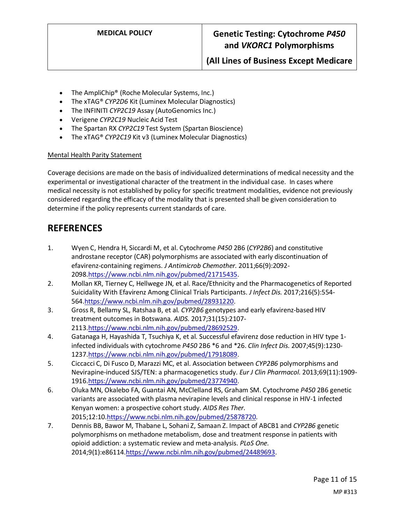- The AmpliChip® (Roche Molecular Systems, Inc.)
- The xTAG® *CYP2D6* Kit (Luminex Molecular Diagnostics)
- The INFINITI *CYP2C19* Assay (AutoGenomics Inc.)
- Verigene *CYP2C19* Nucleic Acid Test
- The Spartan RX *CYP2C19* Test System (Spartan Bioscience)
- The xTAG® *CYP2C19* Kit v3 (Luminex Molecular Diagnostics)

#### Mental Health Parity Statement

Coverage decisions are made on the basis of individualized determinations of medical necessity and the experimental or investigational character of the treatment in the individual case. In cases where medical necessity is not established by policy for specific treatment modalities, evidence not previously considered regarding the efficacy of the modality that is presented shall be given consideration to determine if the policy represents current standards of care.

### **REFERENCES**

- 1. Wyen C, Hendra H, Siccardi M, et al. Cytochrome *P450* 2B6 (*CYP2B6*) and constitutive androstane receptor (CAR) polymorphisms are associated with early discontinuation of efavirenz-containing regimens. *J Antimicrob Chemother.* 2011;66(9):2092- 2098[.https://www.ncbi.nlm.nih.gov/pubmed/21715435.](https://www.ncbi.nlm.nih.gov/pubmed/21715435)
- 2. Mollan KR, Tierney C, Hellwege JN, et al. Race/Ethnicity and the Pharmacogenetics of Reported Suicidality With Efavirenz Among Clinical Trials Participants. *J Infect Dis.* 2017;216(5):554- 564[.https://www.ncbi.nlm.nih.gov/pubmed/28931220.](https://www.ncbi.nlm.nih.gov/pubmed/28931220)
- 3. Gross R, Bellamy SL, Ratshaa B, et al. *CYP2B6* genotypes and early efavirenz-based HIV treatment outcomes in Botswana. *AIDS.* 2017;31(15):2107- 2113[.https://www.ncbi.nlm.nih.gov/pubmed/28692529.](https://www.ncbi.nlm.nih.gov/pubmed/28692529)
- 4. Gatanaga H, Hayashida T, Tsuchiya K, et al. Successful efavirenz dose reduction in HIV type 1 infected individuals with cytochrome *P450* 2B6 \*6 and \*26. *Clin Infect Dis.* 2007;45(9):1230- 1237[.https://www.ncbi.nlm.nih.gov/pubmed/17918089.](https://www.ncbi.nlm.nih.gov/pubmed/17918089)
- 5. Ciccacci C, Di Fusco D, Marazzi MC, et al. Association between *CYP2B6* polymorphisms and Nevirapine-induced SJS/TEN: a pharmacogenetics study. *Eur J Clin Pharmacol.* 2013;69(11):1909- 1916[.https://www.ncbi.nlm.nih.gov/pubmed/23774940.](https://www.ncbi.nlm.nih.gov/pubmed/23774940)
- 6. Oluka MN, Okalebo FA, Guantai AN, McClelland RS, Graham SM. Cytochrome *P450* 2B6 genetic variants are associated with plasma nevirapine levels and clinical response in HIV-1 infected Kenyan women: a prospective cohort study. *AIDS Res Ther.*  2015;12:10[.https://www.ncbi.nlm.nih.gov/pubmed/25878720.](https://www.ncbi.nlm.nih.gov/pubmed/25878720)
- 7. Dennis BB, Bawor M, Thabane L, Sohani Z, Samaan Z. Impact of ABCB1 and *CYP2B6* genetic polymorphisms on methadone metabolism, dose and treatment response in patients with opioid addiction: a systematic review and meta-analysis. *PLoS One.*  2014;9(1):e86114[.https://www.ncbi.nlm.nih.gov/pubmed/24489693.](https://www.ncbi.nlm.nih.gov/pubmed/24489693)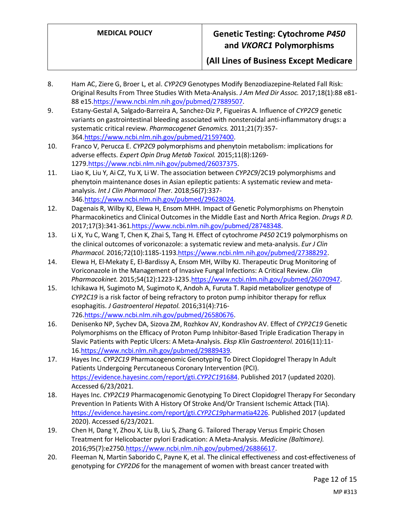**(All Lines of Business Except Medicare**

- 8. Ham AC, Ziere G, Broer L, et al. *CYP2C9* Genotypes Modify Benzodiazepine-Related Fall Risk: Original Results From Three Studies With Meta-Analysis. *J Am Med Dir Assoc.* 2017;18(1):88 e81- 88 e15[.https://www.ncbi.nlm.nih.gov/pubmed/27889507.](https://www.ncbi.nlm.nih.gov/pubmed/27889507)
- 9. Estany-Gestal A, Salgado-Barreira A, Sanchez-Diz P, Figueiras A. Influence of *CYP2C9* genetic variants on gastrointestinal bleeding associated with nonsteroidal anti-inflammatory drugs: a systematic critical review. *Pharmacogenet Genomics.* 2011;21(7):357- 364[.https://www.ncbi.nlm.nih.gov/pubmed/21597400.](https://www.ncbi.nlm.nih.gov/pubmed/21597400)
- 10. Franco V, Perucca E. *CYP2C9* polymorphisms and phenytoin metabolism: implications for adverse effects. *Expert Opin Drug Metab Toxicol.* 2015;11(8):1269- 1279[.https://www.ncbi.nlm.nih.gov/pubmed/26037375.](https://www.ncbi.nlm.nih.gov/pubmed/26037375)
- 11. Liao K, Liu Y, Ai CZ, Yu X, Li W. The association between *CYP2C9*/2C19 polymorphisms and phenytoin maintenance doses in Asian epileptic patients: A systematic review and metaanalysis. *Int J Clin Pharmacol Ther.* 2018;56(7):337- 346[.https://www.ncbi.nlm.nih.gov/pubmed/29628024.](https://www.ncbi.nlm.nih.gov/pubmed/29628024)
- 12. Dagenais R, Wilby KJ, Elewa H, Ensom MHH. Impact of Genetic Polymorphisms on Phenytoin Pharmacokinetics and Clinical Outcomes in the Middle East and North Africa Region. *Drugs R D.*  2017;17(3):341-361[.https://www.ncbi.nlm.nih.gov/pubmed/28748348.](https://www.ncbi.nlm.nih.gov/pubmed/28748348)
- 13. Li X, Yu C, Wang T, Chen K, Zhai S, Tang H. Effect of cytochrome *P450* 2C19 polymorphisms on the clinical outcomes of voriconazole: a systematic review and meta-analysis. *Eur J Clin Pharmacol.* 2016;72(10):1185-1193[.https://www.ncbi.nlm.nih.gov/pubmed/27388292.](https://www.ncbi.nlm.nih.gov/pubmed/27388292)
- 14. Elewa H, El-Mekaty E, El-Bardissy A, Ensom MH, Wilby KJ. Therapeutic Drug Monitoring of Voriconazole in the Management of Invasive Fungal Infections: A Critical Review. *Clin Pharmacokinet.* 2015;54(12):1223-123[5.https://www.ncbi.nlm.nih.gov/pubmed/26070947.](https://www.ncbi.nlm.nih.gov/pubmed/26070947)
- 15. Ichikawa H, Sugimoto M, Sugimoto K, Andoh A, Furuta T. Rapid metabolizer genotype of *CYP2C19* is a risk factor of being refractory to proton pump inhibitor therapy for reflux esophagitis. *J Gastroenterol Hepatol.* 2016;31(4):716- 726[.https://www.ncbi.nlm.nih.gov/pubmed/26580676.](https://www.ncbi.nlm.nih.gov/pubmed/26580676)
- 16. Denisenko NP, Sychev DA, Sizova ZM, Rozhkov AV, Kondrashov AV. Effect of *CYP2C19* Genetic Polymorphisms on the Efficacy of Proton Pump Inhibitor-Based Triple Eradication Therapy in Slavic Patients with Peptic Ulcers: A Meta-Analysis. *Eksp Klin Gastroenterol.* 2016(11):11- 16[.https://www.ncbi.nlm.nih.gov/pubmed/29889439.](https://www.ncbi.nlm.nih.gov/pubmed/29889439)
- 17. Hayes Inc. *CYP2C19* Pharmacogenomic Genotyping To Direct Clopidogrel Therapy In Adult Patients Undergoing Percutaneous Coronary Intervention (PCI). [https://evidence.hayesinc.com/report/gti.](https://evidence.hayesinc.com/report/gti.cyp2c191684)*CYP2C19*1684. Published 2017 (updated 2020). Accessed 6/23/2021.
- 18. Hayes Inc. *CYP2C19* Pharmacogenomic Genotyping To Direct Clopidogrel Therapy For Secondary Prevention In Patients With A History Of Stroke And/Or Transient Ischemic Attack (TIA). [https://evidence.hayesinc.com/report/gti.](https://evidence.hayesinc.com/report/gti.cyp2c19pharmatia4226)*CYP2C19*pharmatia4226. Published 2017 (updated 2020). Accessed 6/23/2021.
- 19. Chen H, Dang Y, Zhou X, Liu B, Liu S, Zhang G. Tailored Therapy Versus Empiric Chosen Treatment for Helicobacter pylori Eradication: A Meta-Analysis. *Medicine (Baltimore).*  2016;95(7):e2750[.https://www.ncbi.nlm.nih.gov/pubmed/26886617.](https://www.ncbi.nlm.nih.gov/pubmed/26886617)
- 20. Fleeman N, Martin Saborido C, Payne K, et al. The clinical effectiveness and cost-effectiveness of genotyping for *CYP2D6* for the management of women with breast cancer treated with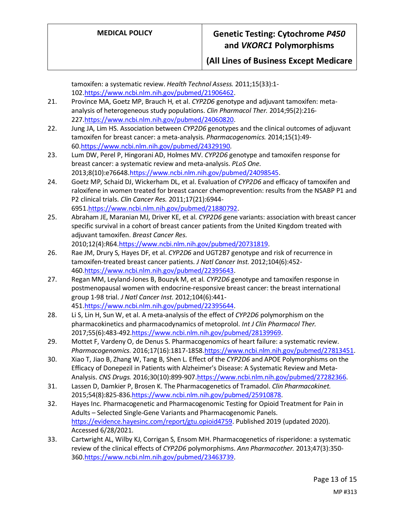tamoxifen: a systematic review. *Health Technol Assess.* 2011;15(33):1- 102[.https://www.ncbi.nlm.nih.gov/pubmed/21906462.](https://www.ncbi.nlm.nih.gov/pubmed/21906462)

- 21. Province MA, Goetz MP, Brauch H, et al. *CYP2D6* genotype and adjuvant tamoxifen: metaanalysis of heterogeneous study populations. *Clin Pharmacol Ther.* 2014;95(2):216- 227[.https://www.ncbi.nlm.nih.gov/pubmed/24060820.](https://www.ncbi.nlm.nih.gov/pubmed/24060820)
- 22. Jung JA, Lim HS. Association between *CYP2D6* genotypes and the clinical outcomes of adjuvant tamoxifen for breast cancer: a meta-analysis. *Pharmacogenomics.* 2014;15(1):49- 60[.https://www.ncbi.nlm.nih.gov/pubmed/24329190.](https://www.ncbi.nlm.nih.gov/pubmed/24329190)
- 23. Lum DW, Perel P, Hingorani AD, Holmes MV. *CYP2D6* genotype and tamoxifen response for breast cancer: a systematic review and meta-analysis. *PLoS One.*  2013;8(10):e7664[8.https://www.ncbi.nlm.nih.gov/pubmed/24098545.](https://www.ncbi.nlm.nih.gov/pubmed/24098545)
- 24. Goetz MP, Schaid DJ, Wickerham DL, et al. Evaluation of *CYP2D6* and efficacy of tamoxifen and raloxifene in women treated for breast cancer chemoprevention: results from the NSABP P1 and P2 clinical trials. *Clin Cancer Res.* 2011;17(21):6944- 6951[.https://www.ncbi.nlm.nih.gov/pubmed/21880792.](https://www.ncbi.nlm.nih.gov/pubmed/21880792)
- 25. Abraham JE, Maranian MJ, Driver KE, et al. *CYP2D6* gene variants: association with breast cancer specific survival in a cohort of breast cancer patients from the United Kingdom treated with adjuvant tamoxifen. *Breast Cancer Res.*  2010;12(4):R6[4.https://www.ncbi.nlm.nih.gov/pubmed/20731819.](https://www.ncbi.nlm.nih.gov/pubmed/20731819)
- 26. Rae JM, Drury S, Hayes DF, et al. *CYP2D6* and UGT2B7 genotype and risk of recurrence in tamoxifen-treated breast cancer patients. *J Natl Cancer Inst.* 2012;104(6):452- 460[.https://www.ncbi.nlm.nih.gov/pubmed/22395643.](https://www.ncbi.nlm.nih.gov/pubmed/22395643)
- 27. Regan MM, Leyland-Jones B, Bouzyk M, et al. *CYP2D6* genotype and tamoxifen response in postmenopausal women with endocrine-responsive breast cancer: the breast international group 1-98 trial. *J Natl Cancer Inst.* 2012;104(6):441- 451[.https://www.ncbi.nlm.nih.gov/pubmed/22395644.](https://www.ncbi.nlm.nih.gov/pubmed/22395644)
- 28. Li S, Lin H, Sun W, et al. A meta-analysis of the effect of *CYP2D6* polymorphism on the pharmacokinetics and pharmacodynamics of metoprolol. *Int J Clin Pharmacol Ther.*  2017;55(6):483-492[.https://www.ncbi.nlm.nih.gov/pubmed/28139969.](https://www.ncbi.nlm.nih.gov/pubmed/28139969)
- 29. Mottet F, Vardeny O, de Denus S. Pharmacogenomics of heart failure: a systematic review. *Pharmacogenomics.* 2016;17(16):1817-1858[.https://www.ncbi.nlm.nih.gov/pubmed/27813451.](https://www.ncbi.nlm.nih.gov/pubmed/27813451)
- 30. Xiao T, Jiao B, Zhang W, Tang B, Shen L. Effect of the *CYP2D6* and APOE Polymorphisms on the Efficacy of Donepezil in Patients with Alzheimer's Disease: A Systematic Review and Meta-Analysis. *CNS Drugs.* 2016;30(10):899-907[.https://www.ncbi.nlm.nih.gov/pubmed/27282366.](https://www.ncbi.nlm.nih.gov/pubmed/27282366)
- 31. Lassen D, Damkier P, Brosen K. The Pharmacogenetics of Tramadol. *Clin Pharmacokinet.*  2015;54(8):825-836[.https://www.ncbi.nlm.nih.gov/pubmed/25910878.](https://www.ncbi.nlm.nih.gov/pubmed/25910878)
- 32. Hayes Inc. Pharmacogenetic and Pharmacogenomic Testing for Opioid Treatment for Pain in Adults – Selected Single-Gene Variants and Pharmacogenomic Panels. [https://evidence.hayesinc.com/report/gtu.opioid4759.](https://evidence.hayesinc.com/report/gtu.opioid4759) Published 2019 (updated 2020). Accessed 6/28/2021.
- 33. Cartwright AL, Wilby KJ, Corrigan S, Ensom MH. Pharmacogenetics of risperidone: a systematic review of the clinical effects of *CYP2D6* polymorphisms. *Ann Pharmacother.* 2013;47(3):350- 360[.https://www.ncbi.nlm.nih.gov/pubmed/23463739.](https://www.ncbi.nlm.nih.gov/pubmed/23463739)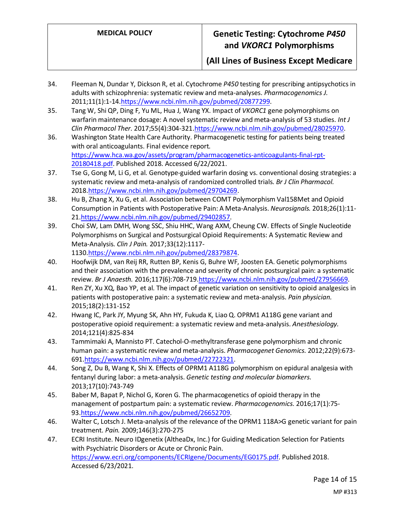**(All Lines of Business Except Medicare**

- 34. Fleeman N, Dundar Y, Dickson R, et al. Cytochrome *P450* testing for prescribing antipsychotics in adults with schizophrenia: systematic review and meta-analyses. *Pharmacogenomics J.*  2011;11(1):1-14[.https://www.ncbi.nlm.nih.gov/pubmed/20877299.](https://www.ncbi.nlm.nih.gov/pubmed/20877299)
- 35. Tang W, Shi QP, Ding F, Yu ML, Hua J, Wang YX. Impact of *VKORC1* gene polymorphisms on warfarin maintenance dosage: A novel systematic review and meta-analysis of 53 studies. *Int J Clin Pharmacol Ther.* 2017;55(4):304-321[.https://www.ncbi.nlm.nih.gov/pubmed/28025970.](https://www.ncbi.nlm.nih.gov/pubmed/28025970)
- 36. Washington State Health Care Authority. Pharmacogenetic testing for patients being treated with oral anticoagulants. Final evidence report. [https://www.hca.wa.gov/assets/program/pharmacogenetics-anticoagulants-final-rpt-](https://www.hca.wa.gov/assets/program/pharmacogenetics-anticoagulants-final-rpt-20180418.pdf)[20180418.pdf.](https://www.hca.wa.gov/assets/program/pharmacogenetics-anticoagulants-final-rpt-20180418.pdf) Published 2018. Accessed 6/22/2021.
- 37. Tse G, Gong M, Li G, et al. Genotype-guided warfarin dosing vs. conventional dosing strategies: a systematic review and meta-analysis of randomized controlled trials. *Br J Clin Pharmacol.*  2018[.https://www.ncbi.nlm.nih.gov/pubmed/29704269.](https://www.ncbi.nlm.nih.gov/pubmed/29704269)
- 38. Hu B, Zhang X, Xu G, et al. Association between COMT Polymorphism Val158Met and Opioid Consumption in Patients with Postoperative Pain: A Meta-Analysis. *Neurosignals.* 2018;26(1):11- 21[.https://www.ncbi.nlm.nih.gov/pubmed/29402857.](https://www.ncbi.nlm.nih.gov/pubmed/29402857)
- 39. Choi SW, Lam DMH, Wong SSC, Shiu HHC, Wang AXM, Cheung CW. Effects of Single Nucleotide Polymorphisms on Surgical and Postsurgical Opioid Requirements: A Systematic Review and Meta-Analysis. *Clin J Pain.* 2017;33(12):1117- 1130[.https://www.ncbi.nlm.nih.gov/pubmed/28379874.](https://www.ncbi.nlm.nih.gov/pubmed/28379874)
- 40. Hoofwijk DM, van Reij RR, Rutten BP, Kenis G, Buhre WF, Joosten EA. Genetic polymorphisms and their association with the prevalence and severity of chronic postsurgical pain: a systematic review. *Br J Anaesth.* 2016;117(6):708-719[.https://www.ncbi.nlm.nih.gov/pubmed/27956669.](https://www.ncbi.nlm.nih.gov/pubmed/27956669)
- 41. Ren ZY, Xu XQ, Bao YP, et al. The impact of genetic variation on sensitivity to opioid analgesics in patients with postoperative pain: a systematic review and meta-analysis. *Pain physician.*  2015;18(2):131-152
- 42. Hwang IC, Park JY, Myung SK, Ahn HY, Fukuda K, Liao Q. OPRM1 A118G gene variant and postoperative opioid requirement: a systematic review and meta-analysis. *Anesthesiology.*  2014;121(4):825-834
- 43. Tammimaki A, Mannisto PT. Catechol-O-methyltransferase gene polymorphism and chronic human pain: a systematic review and meta-analysis. *Pharmacogenet Genomics.* 2012;22(9):673- 691[.https://www.ncbi.nlm.nih.gov/pubmed/22722321.](https://www.ncbi.nlm.nih.gov/pubmed/22722321)
- 44. Song Z, Du B, Wang K, Shi X. Effects of OPRM1 A118G polymorphism on epidural analgesia with fentanyl during labor: a meta-analysis. *Genetic testing and molecular biomarkers.*  2013;17(10):743-749
- 45. Baber M, Bapat P, Nichol G, Koren G. The pharmacogenetics of opioid therapy in the management of postpartum pain: a systematic review. *Pharmacogenomics.* 2016;17(1):75- 93[.https://www.ncbi.nlm.nih.gov/pubmed/26652709.](https://www.ncbi.nlm.nih.gov/pubmed/26652709)
- 46. Walter C, Lotsch J. Meta-analysis of the relevance of the OPRM1 118A>G genetic variant for pain treatment. *Pain.* 2009;146(3):270-275
- 47. ECRI Institute. Neuro IDgenetix (AltheaDx, Inc.) for Guiding Medication Selection for Patients with Psychiatric Disorders or Acute or Chronic Pain. [https://www.ecri.org/components/ECRIgene/Documents/EG0175.pdf.](https://www.ecri.org/components/ECRIgene/Documents/EG0175.pdf) Published 2018. Accessed 6/23/2021.